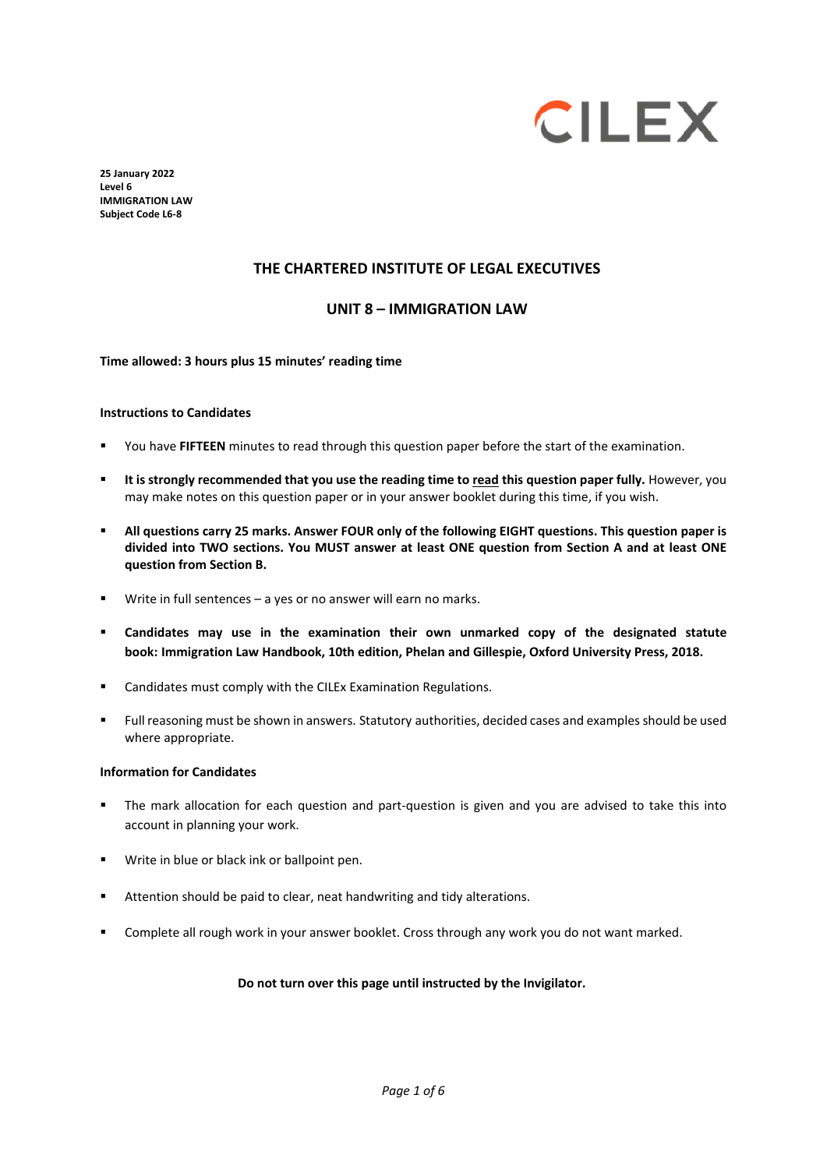

**25 January 2022 Level 6 IMMIGRATION LAW Subject Code L6-8**

## **THE CHARTERED INSTITUTE OF LEGAL EXECUTIVES**

### **UNIT 8 – IMMIGRATION LAW**

**Time allowed: 3 hours plus 15 minutes' reading time**

#### **Instructions to Candidates**

- You have **FIFTEEN** minutes to read through this question paper before the start of the examination.
- **It is strongly recommended that you use the reading time to read this question paper fully.** However, you may make notes on this question paper or in your answer booklet during this time, if you wish.
- **All questions carry 25 marks. Answer FOUR only of the following EIGHT questions. This question paper is divided into TWO sections. You MUST answer at least ONE question from Section A and at least ONE question from Section B.**
- Write in full sentences a yes or no answer will earn no marks.
- **Candidates may use in the examination their own unmarked copy of the designated statute book: Immigration Law Handbook, 10th edition, Phelan and Gillespie, Oxford University Press, 2018.**
- Candidates must comply with the CILEx Examination Regulations.
- Full reasoning must be shown in answers. Statutory authorities, decided cases and examples should be used where appropriate.

### **Information for Candidates**

- The mark allocation for each question and part-question is given and you are advised to take this into account in planning your work.
- **Write in blue or black ink or ballpoint pen.**
- Attention should be paid to clear, neat handwriting and tidy alterations.
- Complete all rough work in your answer booklet. Cross through any work you do not want marked.

#### **Do not turn over this page until instructed by the Invigilator.**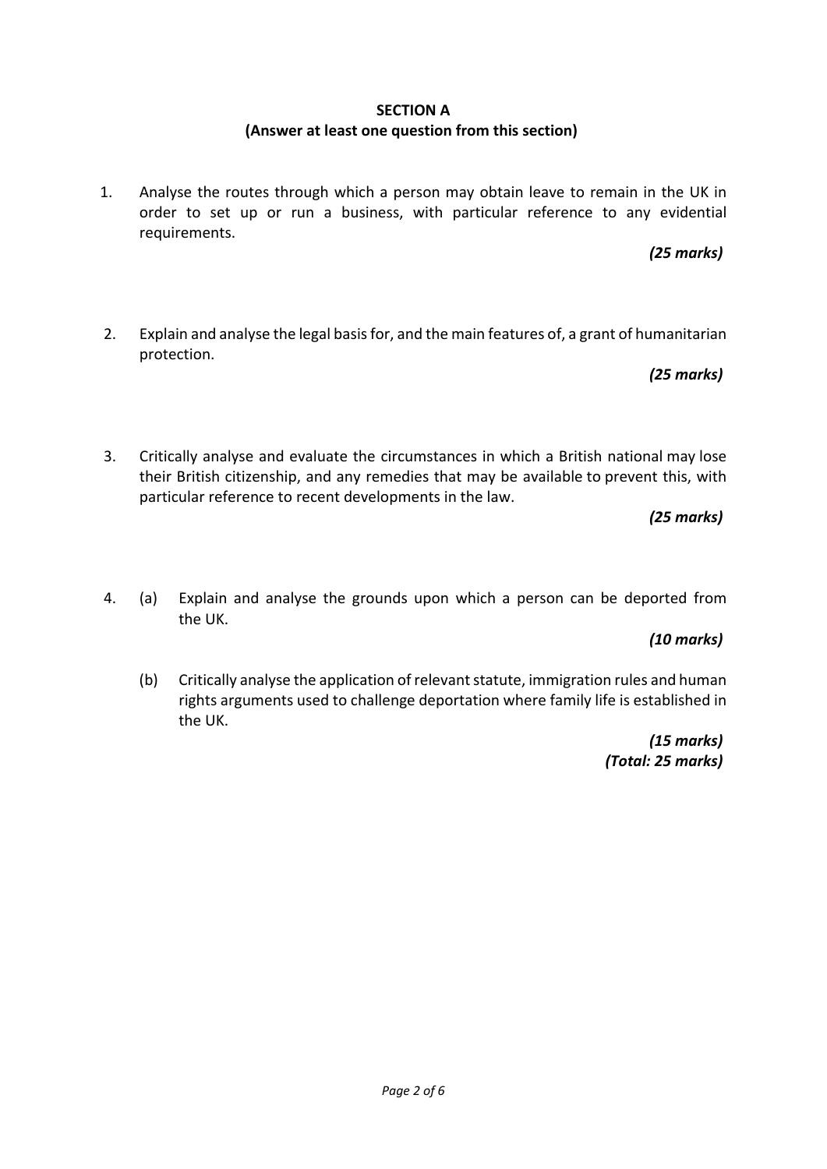## **SECTION A**

# **(Answer at least one question from this section)**

1. Analyse the routes through which a person may obtain leave to remain in the UK in order to set up or run a business, with particular reference to any evidential requirements.

*(25 marks)*

2. Explain and analyse the legal basis for, and the main features of, a grant of humanitarian protection.

*(25 marks)*

3. Critically analyse and evaluate the circumstances in which a British national may lose their British citizenship, and any remedies that may be available to prevent this, with particular reference to recent developments in the law.

*(25 marks)*

4. (a) Explain and analyse the grounds upon which a person can be deported from the UK.

*(10 marks)*

(b) Critically analyse the application of relevant statute, immigration rules and human rights arguments used to challenge deportation where family life is established in the UK.

> *(15 marks) (Total: 25 marks)*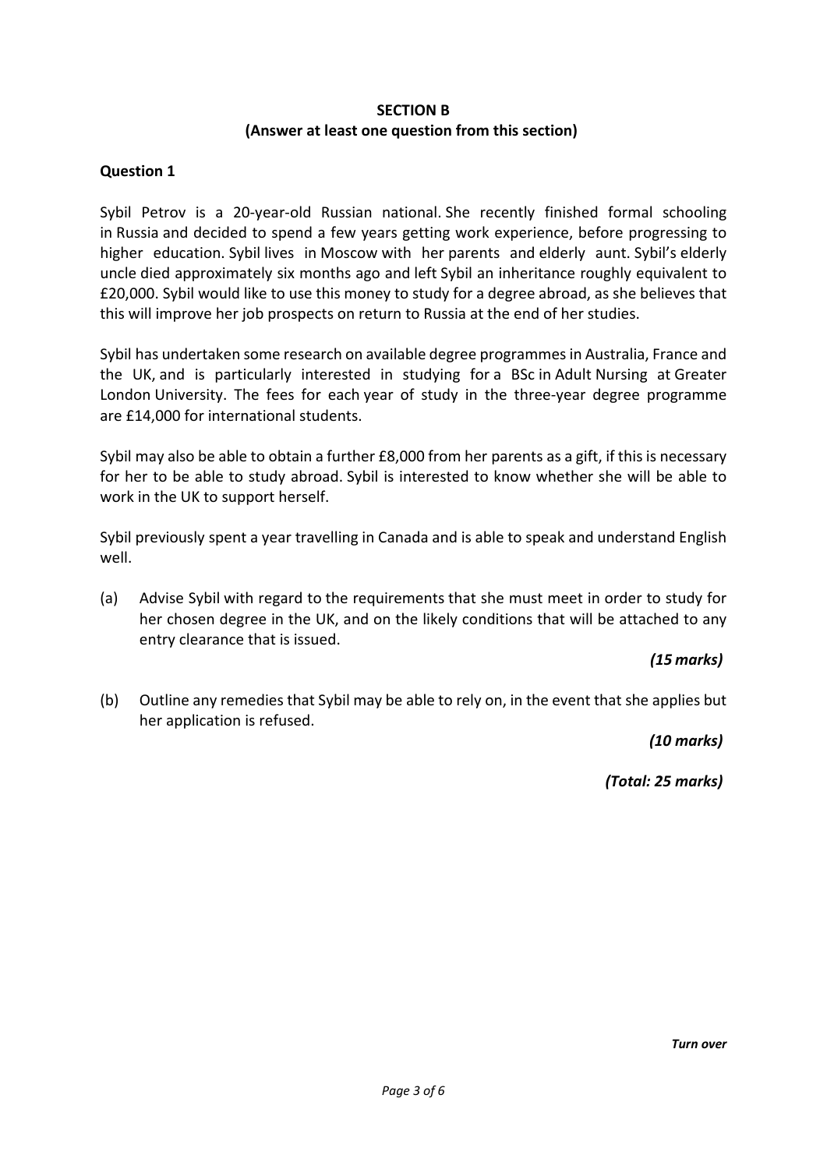## **SECTION B**

## **(Answer at least one question from this section)**

# **Question 1**

Sybil Petrov is a 20-year-old Russian national. She recently finished formal schooling in Russia and decided to spend a few years getting work experience, before progressing to higher education. Sybil lives in Moscow with her parents and elderly aunt. Sybil's elderly uncle died approximately six months ago and left Sybil an inheritance roughly equivalent to £20,000. Sybil would like to use this money to study for a degree abroad, as she believes that this will improve her job prospects on return to Russia at the end of her studies.

Sybil has undertaken some research on available degree programmes in Australia, France and the UK, and is particularly interested in studying for a BSc in Adult Nursing at Greater London University. The fees for each year of study in the three-year degree programme are £14,000 for international students.

Sybil may also be able to obtain a further £8,000 from her parents as a gift, if this is necessary for her to be able to study abroad. Sybil is interested to know whether she will be able to work in the UK to support herself.

Sybil previously spent a year travelling in Canada and is able to speak and understand English well.

(a) Advise Sybil with regard to the requirements that she must meet in order to study for her chosen degree in the UK, and on the likely conditions that will be attached to any entry clearance that is issued.

# *(15 marks)*

(b) Outline any remedies that Sybil may be able to rely on, in the event that she applies but her application is refused.

*(10 marks)*

*(Total: 25 marks)*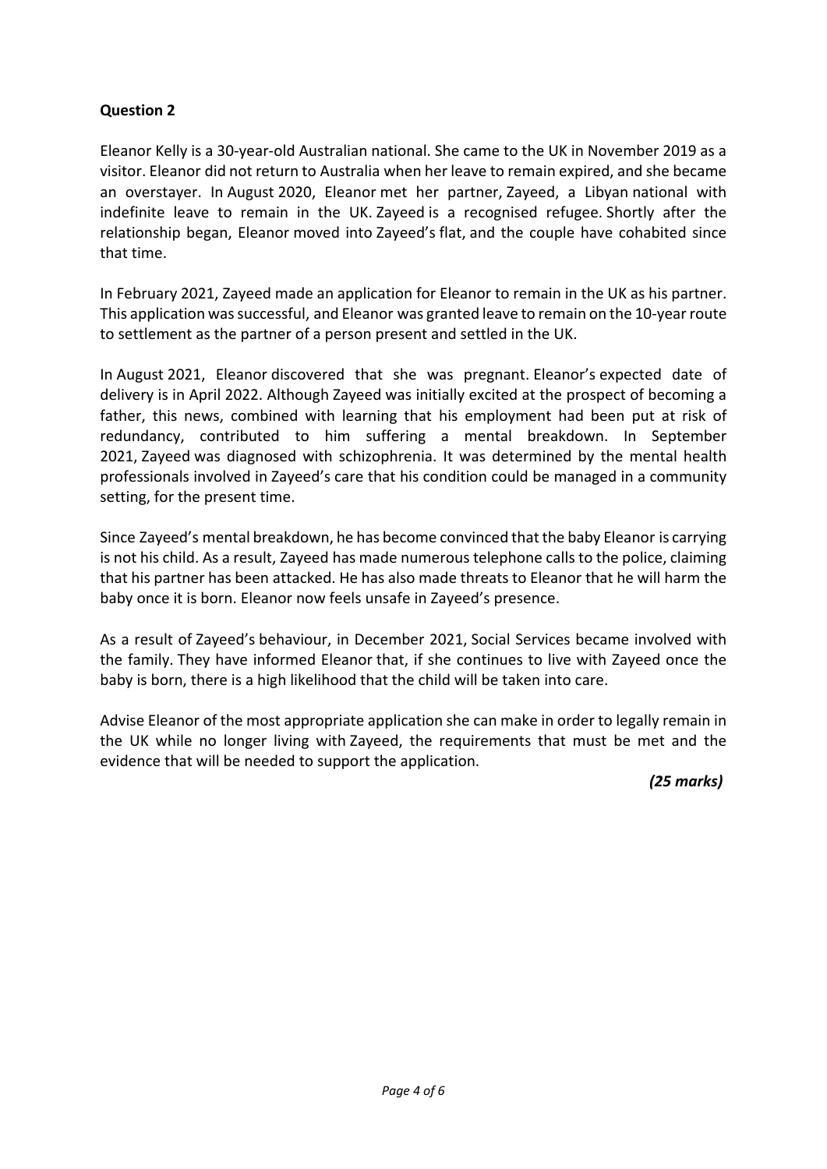# **Question 2**

Eleanor Kelly is a 30-year-old Australian national. She came to the UK in November 2019 as a visitor. Eleanor did not return to Australia when her leave to remain expired, and she became an overstayer. In August 2020, Eleanor met her partner, Zayeed, a Libyan national with indefinite leave to remain in the UK. Zayeed is a recognised refugee. Shortly after the relationship began, Eleanor moved into Zayeed's flat, and the couple have cohabited since that time.

In February 2021, Zayeed made an application for Eleanor to remain in the UK as his partner. This application was successful, and Eleanor was granted leave to remain on the 10-year route to settlement as the partner of a person present and settled in the UK.

In August 2021, Eleanor discovered that she was pregnant. Eleanor's expected date of delivery is in April 2022. Although Zayeed was initially excited at the prospect of becoming a father, this news, combined with learning that his employment had been put at risk of redundancy, contributed to him suffering a mental breakdown. In September 2021, Zayeed was diagnosed with schizophrenia. It was determined by the mental health professionals involved in Zayeed's care that his condition could be managed in a community setting, for the present time.

Since Zayeed's mental breakdown, he has become convinced that the baby Eleanor is carrying is not his child. As a result, Zayeed has made numerous telephone calls to the police, claiming that his partner has been attacked. He has also made threats to Eleanor that he will harm the baby once it is born. Eleanor now feels unsafe in Zayeed's presence.

As a result of Zayeed's behaviour, in December 2021, Social Services became involved with the family. They have informed Eleanor that, if she continues to live with Zayeed once the baby is born, there is a high likelihood that the child will be taken into care.

Advise Eleanor of the most appropriate application she can make in order to legally remain in the UK while no longer living with Zayeed, the requirements that must be met and the evidence that will be needed to support the application.

*(25 marks)*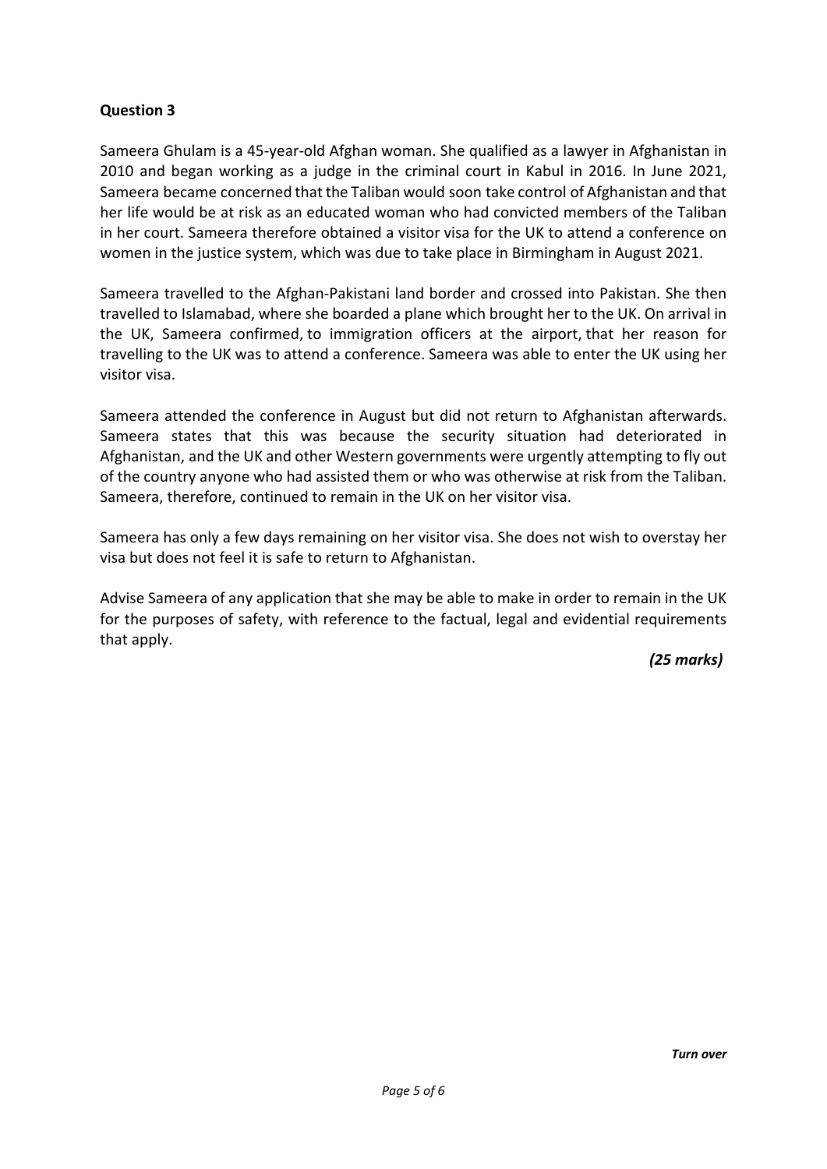# **Question 3**

Sameera Ghulam is a 45-year-old Afghan woman. She qualified as a lawyer in Afghanistan in 2010 and began working as a judge in the criminal court in Kabul in 2016. In June 2021, Sameera became concerned that the Taliban would soon take control of Afghanistan and that her life would be at risk as an educated woman who had convicted members of the Taliban in her court. Sameera therefore obtained a visitor visa for the UK to attend a conference on women in the justice system, which was due to take place in Birmingham in August 2021.

Sameera travelled to the Afghan-Pakistani land border and crossed into Pakistan. She then travelled to Islamabad, where she boarded a plane which brought her to the UK. On arrival in the UK, Sameera confirmed, to immigration officers at the airport, that her reason for travelling to the UK was to attend a conference. Sameera was able to enter the UK using her visitor visa.

Sameera attended the conference in August but did not return to Afghanistan afterwards. Sameera states that this was because the security situation had deteriorated in Afghanistan, and the UK and other Western governments were urgently attempting to fly out of the country anyone who had assisted them or who was otherwise at risk from the Taliban. Sameera, therefore, continued to remain in the UK on her visitor visa.

Sameera has only a few days remaining on her visitor visa. She does not wish to overstay her visa but does not feel it is safe to return to Afghanistan.

Advise Sameera of any application that she may be able to make in order to remain in the UK for the purposes of safety, with reference to the factual, legal and evidential requirements that apply.

*(25 marks)*